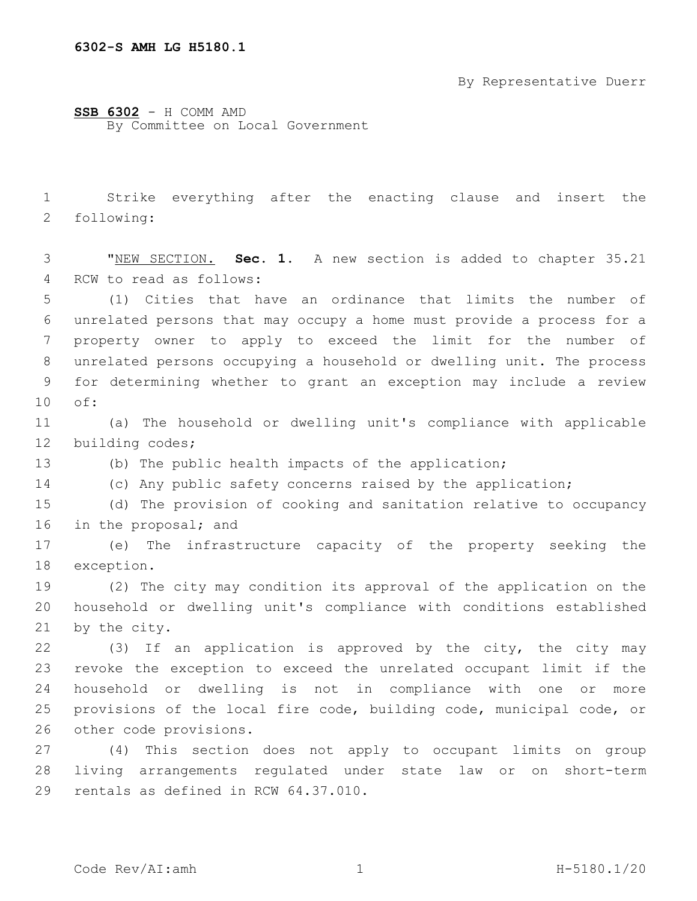By Representative Duerr

## **SSB 6302** - H COMM AMD

By Committee on Local Government

1 Strike everything after the enacting clause and insert the 2 following:

3 "NEW SECTION. **Sec. 1.** A new section is added to chapter 35.21 4 RCW to read as follows:

 (1) Cities that have an ordinance that limits the number of unrelated persons that may occupy a home must provide a process for a property owner to apply to exceed the limit for the number of unrelated persons occupying a household or dwelling unit. The process for determining whether to grant an exception may include a review 10 of:

11 (a) The household or dwelling unit's compliance with applicable 12 building codes;

13 (b) The public health impacts of the application;

14 (c) Any public safety concerns raised by the application;

15 (d) The provision of cooking and sanitation relative to occupancy 16 in the proposal; and

17 (e) The infrastructure capacity of the property seeking the 18 exception.

19 (2) The city may condition its approval of the application on the 20 household or dwelling unit's compliance with conditions established 21 by the city.

22 (3) If an application is approved by the city, the city may 23 revoke the exception to exceed the unrelated occupant limit if the 24 household or dwelling is not in compliance with one or more 25 provisions of the local fire code, building code, municipal code, or 26 other code provisions.

27 (4) This section does not apply to occupant limits on group 28 living arrangements regulated under state law or on short-term 29 rentals as defined in RCW 64.37.010.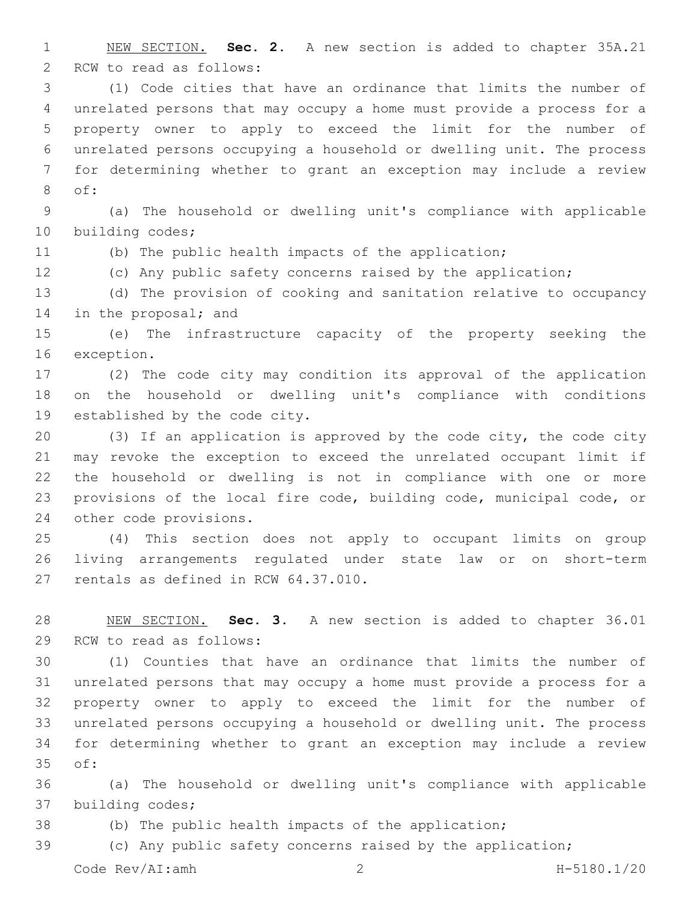NEW SECTION. **Sec. 2.** A new section is added to chapter 35A.21 2 RCW to read as follows:

 (1) Code cities that have an ordinance that limits the number of unrelated persons that may occupy a home must provide a process for a property owner to apply to exceed the limit for the number of unrelated persons occupying a household or dwelling unit. The process for determining whether to grant an exception may include a review 8 of:

 (a) The household or dwelling unit's compliance with applicable 10 building codes;

(b) The public health impacts of the application;

(c) Any public safety concerns raised by the application;

 (d) The provision of cooking and sanitation relative to occupancy 14 in the proposal; and

 (e) The infrastructure capacity of the property seeking the 16 exception.

 (2) The code city may condition its approval of the application on the household or dwelling unit's compliance with conditions 19 established by the code city.

 (3) If an application is approved by the code city, the code city may revoke the exception to exceed the unrelated occupant limit if the household or dwelling is not in compliance with one or more provisions of the local fire code, building code, municipal code, or 24 other code provisions.

 (4) This section does not apply to occupant limits on group living arrangements regulated under state law or on short-term 27 rentals as defined in RCW 64.37.010.

 NEW SECTION. **Sec. 3.** A new section is added to chapter 36.01 29 RCW to read as follows:

 (1) Counties that have an ordinance that limits the number of unrelated persons that may occupy a home must provide a process for a property owner to apply to exceed the limit for the number of unrelated persons occupying a household or dwelling unit. The process for determining whether to grant an exception may include a review 35 of:

 (a) The household or dwelling unit's compliance with applicable 37 building codes;

(b) The public health impacts of the application;

(c) Any public safety concerns raised by the application;

Code Rev/AI:amh 2 H-5180.1/20